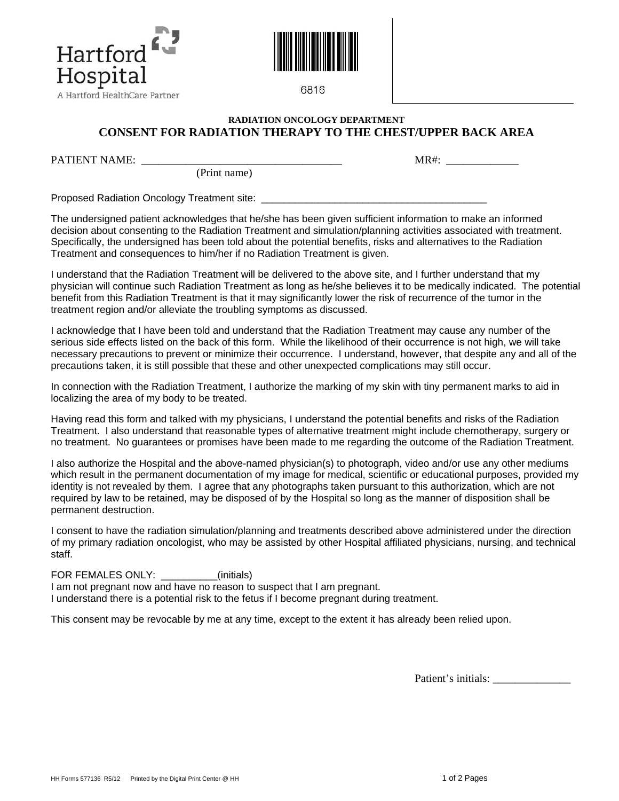



6816

## **RADIATION ONCOLOGY DEPARTMENT CONSENT FOR RADIATION THERAPY TO THE CHEST/UPPER BACK AREA**

PATIENT NAME: \_\_\_\_\_\_\_\_\_\_\_\_\_\_\_\_\_\_\_\_\_\_\_\_\_\_\_\_\_\_\_\_\_\_\_\_ MR#: \_\_\_\_\_\_\_\_\_\_\_\_\_

(Print name)

Proposed Radiation Oncology Treatment site:

The undersigned patient acknowledges that he/she has been given sufficient information to make an informed decision about consenting to the Radiation Treatment and simulation/planning activities associated with treatment. Specifically, the undersigned has been told about the potential benefits, risks and alternatives to the Radiation Treatment and consequences to him/her if no Radiation Treatment is given.

I understand that the Radiation Treatment will be delivered to the above site, and I further understand that my physician will continue such Radiation Treatment as long as he/she believes it to be medically indicated. The potential benefit from this Radiation Treatment is that it may significantly lower the risk of recurrence of the tumor in the treatment region and/or alleviate the troubling symptoms as discussed.

I acknowledge that I have been told and understand that the Radiation Treatment may cause any number of the serious side effects listed on the back of this form. While the likelihood of their occurrence is not high, we will take necessary precautions to prevent or minimize their occurrence. I understand, however, that despite any and all of the precautions taken, it is still possible that these and other unexpected complications may still occur.

In connection with the Radiation Treatment, I authorize the marking of my skin with tiny permanent marks to aid in localizing the area of my body to be treated.

Having read this form and talked with my physicians, I understand the potential benefits and risks of the Radiation Treatment. I also understand that reasonable types of alternative treatment might include chemotherapy, surgery or no treatment. No guarantees or promises have been made to me regarding the outcome of the Radiation Treatment.

I also authorize the Hospital and the above-named physician(s) to photograph, video and/or use any other mediums which result in the permanent documentation of my image for medical, scientific or educational purposes, provided my identity is not revealed by them. I agree that any photographs taken pursuant to this authorization, which are not required by law to be retained, may be disposed of by the Hospital so long as the manner of disposition shall be permanent destruction.

I consent to have the radiation simulation/planning and treatments described above administered under the direction of my primary radiation oncologist, who may be assisted by other Hospital affiliated physicians, nursing, and technical staff.

FOR FEMALES ONLY: (initials)

I am not pregnant now and have no reason to suspect that I am pregnant. I understand there is a potential risk to the fetus if I become pregnant during treatment.

This consent may be revocable by me at any time, except to the extent it has already been relied upon.

Patient's initials: